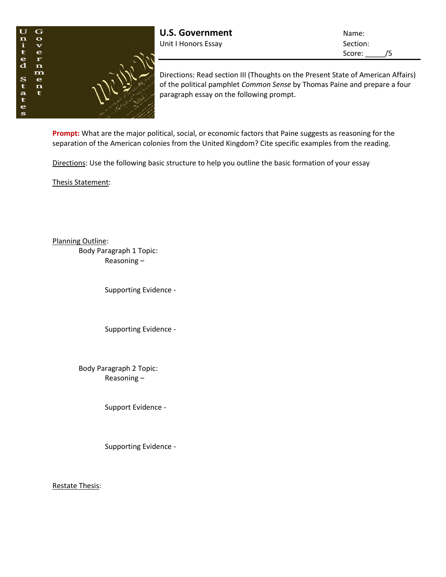

**U.S. Government** Name: Unit I Honors Essay Section:

Score: /5

Directions: Read section III (Thoughts on the Present State of American Affairs) of the political pamphlet *Common Sense* by Thomas Paine and prepare a four paragraph essay on the following prompt.

**Prompt:** What are the major political, social, or economic factors that Paine suggests as reasoning for the separation of the American colonies from the United Kingdom? Cite specific examples from the reading.

Directions: Use the following basic structure to help you outline the basic formation of your essay

Thesis Statement:

Planning Outline:

Body Paragraph 1 Topic: Reasoning –

Supporting Evidence -

Supporting Evidence -

Body Paragraph 2 Topic: Reasoning –

Support Evidence -

Supporting Evidence -

Restate Thesis: